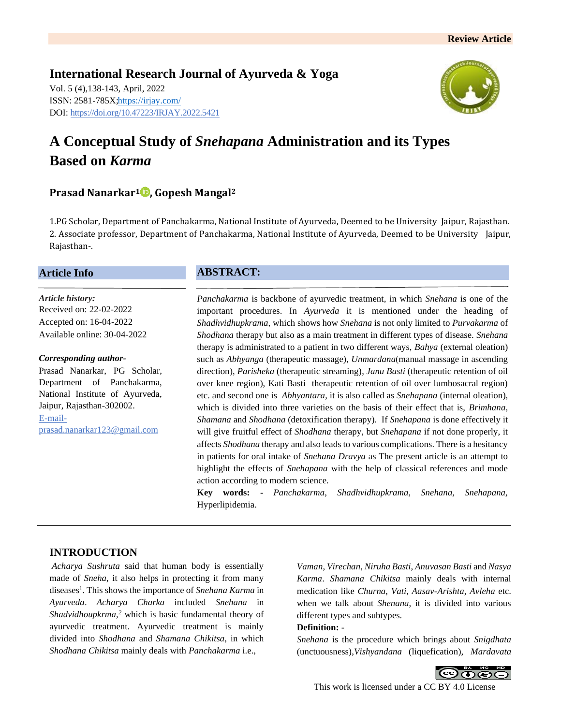**International Research Journal of Ayurveda & Yoga** Vol. 5 (4),138-143, April, 2022 ISSN: 2581-785X[; https://irjay.com/](https://irjay.com/) DOI: https://doi.org/10.47223/IRJAY.2022.5421



# **A Conceptual Study of** *Snehapana* **Administration and its Types Based on** *Karma*

# **Prasad Nanarkar<sup>1</sup> , Gopesh Mangal<sup>2</sup>**

1.PG Scholar, Department of Panchakarma, National Institute of Ayurveda, Deemed to be University Jaipur, Rajasthan. 2. Associate professor, Department of Panchakarma, National Institute of Ayurveda, Deemed to be University Jaipur, Rajasthan-.

## **Article Info**

*Article history:* Received on: 22-02-2022 Accepted on: 16-04-2022 Available online: 30-04-2022

#### *Corresponding author-*

Prasad Nanarkar, PG Scholar, Department of Panchakarma, National Institute of Ayurveda, Jaipur, Rajasthan-302002. E-mailprasad.nanarkar123@gmail.com

## **ABSTRACT:**

*Panchakarma* is backbone of ayurvedic treatment, in which *Snehana* is one of the important procedures. In *Ayurveda* it is mentioned under the heading of *Shadhvidhupkrama,* which shows how *Snehana* is not only limited to *Purvakarma* of *Shodhana* therapy but also as a main treatment in different types of disease. *Snehana* therapy is administrated to a patient in two different ways, *Bahya* (external oleation) such as *Abhyanga* (therapeutic massage), *Unmardana*(manual massage in ascending direction), *Parisheka* (therapeutic streaming), *Janu Basti* (therapeutic retention of oil over knee region), Kati Basti therapeutic retention of oil over lumbosacral region) etc. and second one is *Abhyantara*, it is also called as *Snehapana* (internal oleation), which is divided into three varieties on the basis of their effect that is, *Brimhana*, *Shamana* and *Shodhana* (detoxification therapy)*.* If *Snehapana* is done effectively it will give fruitful effect of *Shodhana* therapy, but *Snehapana* if not done properly, it affects *Shodhana* therapy and also leads to various complications. There is a hesitancy in patients for oral intake of *Snehana Dravya* as The present article is an attempt to highlight the effects of *Snehapana* with the help of classical references and mode action according to modern science.

**Key words: -** *Panchakarma*, *Shadhvidhupkrama, Snehana, Snehapana,*  Hyperlipidemia.

## **INTRODUCTION**

*Acharya Sushruta* said that human body is essentially made of *Sneha,* it also helps in protecting it from many diseases<sup>1</sup>. This shows the importance of *Snehana Karma* in *Ayurveda*. *Acharya Charka* included *Snehana* in *Shadvidhoupkrma,<sup>2</sup>* which is basic fundamental theory of ayurvedic treatment. Ayurvedic treatment is mainly divided into *Shodhana* and *Shamana Chikitsa*, in which *Shodhana Chikitsa* mainly deals with *Panchakarma* i.e.,

*Vaman*, *Virechan*, *Niruha Basti*, *Anuvasan Basti* and *Nasya Karma*. *Shamana Chikitsa* mainly deals with internal medication like *Churna*, *Vati*, *Aasav*-*Arishta*, *Avleha* etc. when we talk about *Shenana*, it is divided into various different types and subtypes.

#### **Definition: -**

*Snehana* is the procedure which brings about *Snigdhata*  (unctuousness),*Vishyandana* (liquefication), *Mardavata*



This work is licensed under a CC BY 4.0 License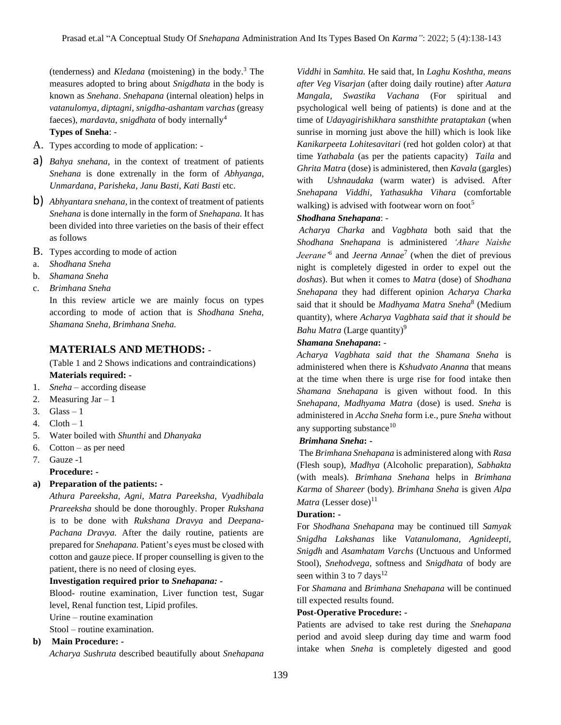(tenderness) and *Kledana* (moistening) in the body.<sup>3</sup> The measures adopted to bring about *Snigdhata* in the body is known as *Snehana*. *Snehapana* (internal oleation) helps in *vatanulomya*, *diptagni*, *snigdha-ashantam varchas* (greasy faeces), *mardavta*, *snigdhata* of body internally<sup>4</sup>

#### **Types of Sneha**: -

- A. Types according to mode of application: -
- a) *Bahya snehana*, in the context of treatment of patients *Snehana* is done extrenally in the form of *Abhyanga*, *Unmardana*, *Parisheka*, *Janu Basti*, *Kati Basti* etc.
- b) *Abhyantara snehana,* in the context of treatment of patients *Snehana* is done internally in the form of *Snehapana.* It has been divided into three varieties on the basis of their effect as follows
- B. Types according to mode of action
- a. *Shodhana Sneha*
- b. *Shamana Sneha*
- c. *Brimhana Sneha*

In this review article we are mainly focus on types according to mode of action that is *Shodhana Sneha, Shamana Sneha, Brimhana Sneha.*

## **MATERIALS AND METHODS:** -

(Table 1 and 2 Shows indications and contraindications) **Materials required: -**

- 1. *Sneha* according disease
- 2. Measuring  $\text{Jar} 1$
- 3. Glass  $-1$
- 4.  $C$ loth  $-1$
- 5. Water boiled with *Shunthi* and *Dhanyaka*
- 6. Cotton as per need
- 7. Gauze -1

## **Procedure: -**

#### **a) Preparation of the patients: -**

*Athura Pareeksha, Agni, Matra Pareeksha, Vyadhibala Prareeksha* should be done thoroughly. Proper *Rukshana*  is to be done with *Rukshana Dravya* and *Deepana-Pachana Dravya.* After the daily routine, patients are prepared for *Snehapana.* Patient's eyes must be closed with cotton and gauze piece. If proper counselling is given to the patient, there is no need of closing eyes.

#### **Investigation required prior to** *Snehapana: -*

Blood- routine examination, Liver function test, Sugar level, Renal function test, Lipid profiles.

Urine – routine examination

Stool – routine examination.

## **b) Main Procedure: -**

*Acharya Sushruta* described beautifully about *Snehapana* 

*Viddhi* in *Samhita.* He said that, In *Laghu Koshtha, means after Veg Visarjan* (after doing daily routine) after *Aatura Mangala, Swastika Vachana* (For spiritual and psychological well being of patients) is done and at the time of *Udayagirishikhara sansthithte prataptakan* (when sunrise in morning just above the hill) which is look like *Kanikarpeeta Lohitesavitari* (red hot golden color) at that time *Yathabala* (as per the patients capacity) *Taila* and *Ghrita Matra* (dose) is administered, then *Kavala* (gargles) with *Ushnaudaka* (warm water) is advised. After *Snehapana Viddhi*, *Yathasukha Vihara* (comfortable walking) is advised with footwear worn on foot $<sup>5</sup>$ </sup>

#### *Shodhana Snehapana*: -

*Acharya Charka* and *Vagbhata* both said that the *Shodhana Snehapana* is administered *'Ahare Naishe Jeerane'<sup>6</sup>* and *Jeerna Annae*<sup>7</sup> (when the diet of previous night is completely digested in order to expel out the *doshas*). But when it comes to *Matra* (dose) of *Shodhana Snehapana* they had different opinion *Acharya Charka*  said that it should be *Madhyama Matra Sneha*<sup>8</sup> (Medium quantity), where *Acharya Vagbhata said that it should be Bahu Matra* (Large quantity)<sup>9</sup>

#### *Shamana Snehapana***:** -

*Acharya Vagbhata said that the Shamana Sneha* is administered when there is *Kshudvato Ananna* that means at the time when there is urge rise for food intake then *Shamana Snehapana* is given without food. In this *Snehapana, Madhyama Matra* (dose) is used. *Sneha* is administered in *Accha Sneha* form i.e., pure *Sneha* without any supporting substance<sup>10</sup>

#### *Brimhana Sneha***: -**

The *Brimhana Snehapana* is administered along with *Rasa*  (Flesh soup), *Madhya* (Alcoholic preparation), *Sabhakta* (with meals). *Brimhana Snehana* helps in *Brimhana Karma* of *Shareer* (body). *Brimhana Sneha* is given *Alpa Matra* (Lesser dose)<sup>11</sup>

## **Duration: -**

For *Shodhana Snehapana* may be continued till *Samyak Snigdha Lakshanas* like *Vatanulomana, Agnideepti, Snigdh* and *Asamhatam Varchs* (Unctuous and Unformed Stool), *Snehodvega,* softness and *Snigdhata* of body are seen within 3 to 7 days<sup>12</sup>

For *Shamana* and *Brimhana Snehapana* will be continued till expected results found.

#### **Post-Operative Procedure: -**

Patients are advised to take rest during the *Snehapana*  period and avoid sleep during day time and warm food intake when *Sneha* is completely digested and good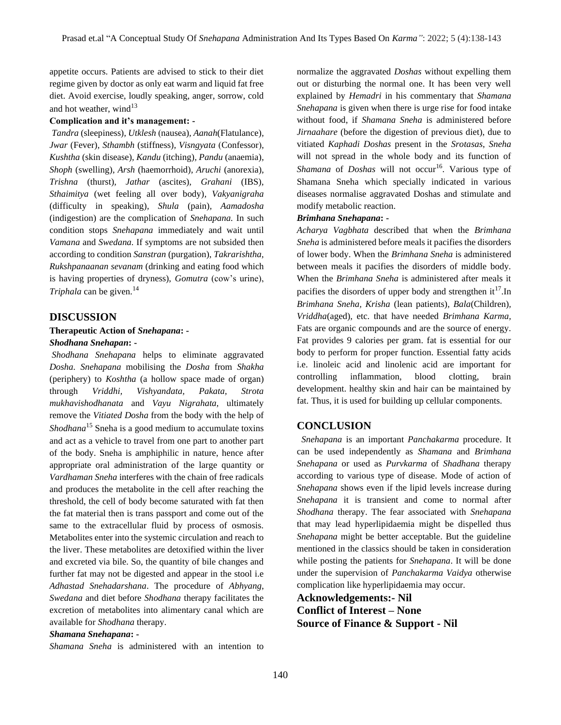appetite occurs. Patients are advised to stick to their diet regime given by doctor as only eat warm and liquid fat free diet. Avoid exercise, loudly speaking, anger, sorrow, cold and hot weather, wind $13$ 

#### **Complication and it's management: -**

*Tandra* (sleepiness)*, Utklesh* (nausea)*, Aanah*(Flatulance)*, Jwar* (Fever)*, Sthambh* (stiffness)*, Visngyata* (Confessor)*, Kushtha* (skin disease)*, Kandu* (itching)*, Pandu* (anaemia)*, Shoph* (swelling)*, Arsh* (haemorrhoid)*, Aruchi* (anorexia)*, Trishna* (thurst)*, Jathar* (ascites)*, Grahani* (IBS)*, Sthaimitya* (wet feeling all over body)*, Vakyanigraha*  (difficulty in speaking)*, Shula* (pain)*, Aamadosha*  (indigestion) are the complication of *Snehapana.* In such condition stops *Snehapana* immediately and wait until *Vamana* and *Swedana.* If symptoms are not subsided then according to condition *Sanstran* (purgation), *Takrarishtha, Rukshpanaanan sevanam* (drinking and eating food which is having properties of dryness), *Gomutra* (cow's urine), *Triphala* can be given.<sup>14</sup>

## **DISCUSSION**

#### **Therapeutic Action of** *Snehapana***: -** *Shodhana Snehapan***: -**

*Shodhana Snehapana* helps to eliminate aggravated *Dosha. Snehapana* mobilising the *Dosha* from *Shakha* (periphery) to *Koshtha* (a hollow space made of organ) through *Vriddhi, Vishyandata, Pakata, Strota mukhavishodhanata* and *Vayu Nigrahata,* ultimately remove the *Vitiated Dosha* from the body with the help of *Shodhana*<sup>15</sup> Sneha is a good medium to accumulate toxins and act as a vehicle to travel from one part to another part of the body. Sneha is amphiphilic in nature, hence after appropriate oral administration of the large quantity or *Vardhaman Sneha* interferes with the chain of free radicals and produces the metabolite in the cell after reaching the threshold, the cell of body become saturated with fat then the fat material then is trans passport and come out of the same to the extracellular fluid by process of osmosis. Metabolites enter into the systemic circulation and reach to the liver. These metabolites are detoxified within the liver and excreted via bile. So, the quantity of bile changes and further fat may not be digested and appear in the stool i.e *Adhastad Snehadarshana*. The procedure of *Abhyang*, *Swedana* and diet before *Shodhana* therapy facilitates the excretion of metabolites into alimentary canal which are available for *Shodhana* therapy.

#### *Shamana Snehapana***: -**

*Shamana Sneha* is administered with an intention to

normalize the aggravated *Doshas* without expelling them out or disturbing the normal one. It has been very well explained by *Hemadri* in his commentary that *Shamana Snehapana* is given when there is urge rise for food intake without food, if *Shamana Sneha* is administered before *Jirnaahare* (before the digestion of previous diet), due to vitiated *Kaphadi Doshas* present in the *Srotasas*, *Sneha* will not spread in the whole body and its function of *Shamana* of *Doshas* will not occur<sup>16</sup>. Various type of Shamana Sneha which specially indicated in various diseases normalise aggravated Doshas and stimulate and modify metabolic reaction.

#### *Brimhana Snehapana***: -**

*Acharya Vagbhata* described that when the *Brimhana Sneha* is administered before meals it pacifies the disorders of lower body. When the *Brimhana Sneha* is administered between meals it pacifies the disorders of middle body. When the *Brimhana Sneha* is administered after meals it pacifies the disorders of upper body and strengthen  $it^{17}$ . In *Brimhana Sneha, Krisha* (lean patients)*, Bala*(Children)*, Vriddha*(aged)*,* etc. that have needed *Brimhana Karma,*  Fats are organic compounds and are the source of energy. Fat provides 9 calories per gram. fat is essential for our body to perform for proper function. Essential fatty acids i.e. linoleic acid and linolenic acid are important for controlling inflammation, blood clotting, brain development. healthy skin and hair can be maintained by fat. Thus, it is used for building up cellular components.

#### **CONCLUSION**

*Snehapana* is an important *Panchakarma* procedure. It can be used independently as *Shamana* and *Brimhana Snehapana* or used as *Purvkarma* of *Shadhana* therapy according to various type of disease. Mode of action of *Snehapana* shows even if the lipid levels increase during *Snehapana* it is transient and come to normal after *Shodhana* therapy. The fear associated with *Snehapana*  that may lead hyperlipidaemia might be dispelled thus *Snehapana* might be better acceptable. But the guideline mentioned in the classics should be taken in consideration while posting the patients for *Snehapana*. It will be done under the supervision of *Panchakarma Vaidya* otherwise complication like hyperlipidaemia may occur.

**Acknowledgements:- Nil Conflict of Interest – None Source of Finance & Support - Nil**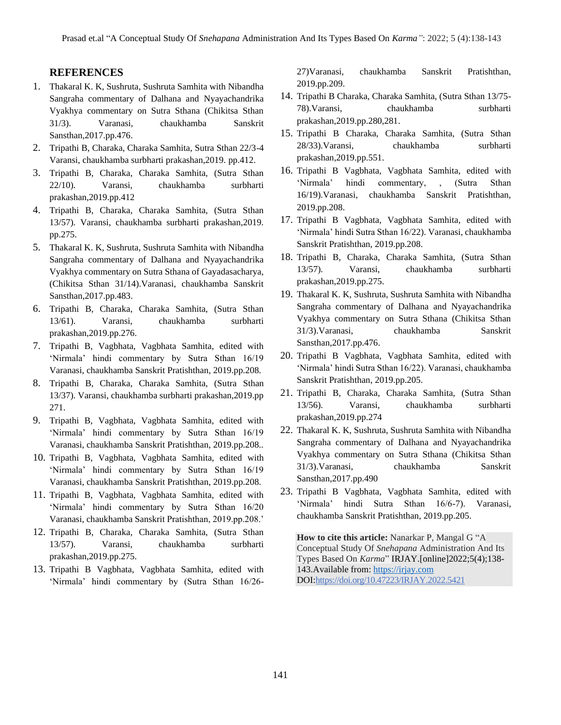## **REFERENCES**

- 1. Thakaral K. K, Sushruta, Sushruta Samhita with Nibandha Sangraha commentary of Dalhana and Nyayachandrika Vyakhya commentary on Sutra Sthana (Chikitsa Sthan 31/3). Varanasi, chaukhamba Sanskrit Sansthan,2017.pp.476.
- 2. Tripathi B, Charaka, Charaka Samhita, Sutra Sthan 22/3-4 Varansi, chaukhamba surbharti prakashan,2019. pp.412.
- 3. Tripathi B, Charaka, Charaka Samhita, (Sutra Sthan 22/10). Varansi, chaukhamba surbharti prakashan,2019.pp.412
- 4. Tripathi B, Charaka, Charaka Samhita, (Sutra Sthan 13/57). Varansi, chaukhamba surbharti prakashan,2019. pp.275.
- 5. Thakaral K. K, Sushruta, Sushruta Samhita with Nibandha Sangraha commentary of Dalhana and Nyayachandrika Vyakhya commentary on Sutra Sthana of Gayadasacharya, (Chikitsa Sthan 31/14).Varanasi, chaukhamba Sanskrit Sansthan,2017.pp.483.
- 6. Tripathi B, Charaka, Charaka Samhita, (Sutra Sthan 13/61). Varansi, chaukhamba surbharti prakashan,2019.pp.276.
- 7. Tripathi B, Vagbhata, Vagbhata Samhita, edited with 'Nirmala' hindi commentary by Sutra Sthan 16/19 Varanasi, chaukhamba Sanskrit Pratishthan, 2019.pp.208.
- 8. Tripathi B, Charaka, Charaka Samhita, (Sutra Sthan 13/37). Varansi, chaukhamba surbharti prakashan,2019.pp 271.
- 9. Tripathi B, Vagbhata, Vagbhata Samhita, edited with 'Nirmala' hindi commentary by Sutra Sthan 16/19 Varanasi, chaukhamba Sanskrit Pratishthan, 2019.pp.208..
- 10. Tripathi B, Vagbhata, Vagbhata Samhita, edited with 'Nirmala' hindi commentary by Sutra Sthan 16/19 Varanasi, chaukhamba Sanskrit Pratishthan, 2019.pp.208.
- 11. Tripathi B, Vagbhata, Vagbhata Samhita, edited with 'Nirmala' hindi commentary by Sutra Sthan 16/20 Varanasi, chaukhamba Sanskrit Pratishthan, 2019.pp.208.'
- 12. Tripathi B, Charaka, Charaka Samhita, (Sutra Sthan 13/57). Varansi, chaukhamba surbharti prakashan,2019.pp.275.
- 13. Tripathi B Vagbhata, Vagbhata Samhita, edited with 'Nirmala' hindi commentary by (Sutra Sthan 16/26-

27)Varanasi, chaukhamba Sanskrit Pratishthan, 2019.pp.209.

- 14. Tripathi B Charaka, Charaka Samhita, (Sutra Sthan 13/75- 78).Varansi, chaukhamba surbharti prakashan,2019.pp.280,281.
- 15. Tripathi B Charaka, Charaka Samhita, (Sutra Sthan 28/33).Varansi, chaukhamba surbharti prakashan,2019.pp.551.
- 16. Tripathi B Vagbhata, Vagbhata Samhita, edited with 'Nirmala' hindi commentary, , (Sutra Sthan 16/19).Varanasi, chaukhamba Sanskrit Pratishthan, 2019.pp.208.
- 17. Tripathi B Vagbhata, Vagbhata Samhita, edited with 'Nirmala' hindi Sutra Sthan 16/22). Varanasi, chaukhamba Sanskrit Pratishthan, 2019.pp.208.
- 18. Tripathi B, Charaka, Charaka Samhita, (Sutra Sthan 13/57). Varansi, chaukhamba surbharti prakashan,2019.pp.275.
- 19. Thakaral K. K, Sushruta, Sushruta Samhita with Nibandha Sangraha commentary of Dalhana and Nyayachandrika Vyakhya commentary on Sutra Sthana (Chikitsa Sthan 31/3).Varanasi, chaukhamba Sanskrit Sansthan,2017.pp.476.
- 20. Tripathi B Vagbhata, Vagbhata Samhita, edited with 'Nirmala' hindi Sutra Sthan 16/22). Varanasi, chaukhamba Sanskrit Pratishthan, 2019.pp.205.
- 21. Tripathi B, Charaka, Charaka Samhita, (Sutra Sthan 13/56). Varansi, chaukhamba surbharti prakashan,2019.pp.274
- 22. Thakaral K. K, Sushruta, Sushruta Samhita with Nibandha Sangraha commentary of Dalhana and Nyayachandrika Vyakhya commentary on Sutra Sthana (Chikitsa Sthan 31/3).Varanasi, chaukhamba Sanskrit Sansthan,2017.pp.490
- 23. Tripathi B Vagbhata, Vagbhata Samhita, edited with 'Nirmala' hindi Sutra Sthan 16/6-7). Varanasi, chaukhamba Sanskrit Pratishthan, 2019.pp.205.

**How to cite this article:** Nanarkar P, Mangal G "A Conceptual Study Of *Snehapana* Administration And Its Types Based On *Karma*" IRJAY.[online]2022;5(4);138- 143.Available from[: https://irjay.com](https://irjay.com/) DOI:https://doi.org/10.47223/IRJAY.2022.5421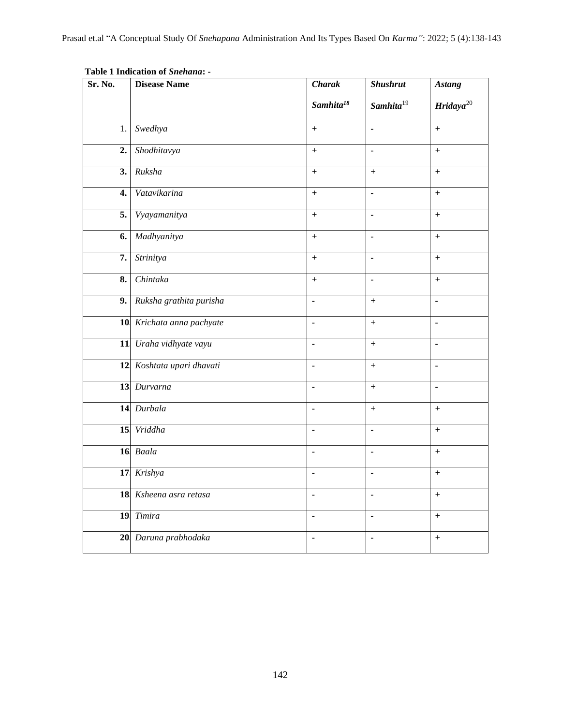| Sr. No.          | <b>Disease Name</b>       | <b>Charak</b>                    | <b>Shushrut</b>  | <b>Astang</b>                    |
|------------------|---------------------------|----------------------------------|------------------|----------------------------------|
|                  |                           | Samhita $18$                     | Samhita $19$     | Hridaya $^{20}$                  |
| 1.               | Swedhya                   | $+$                              | ä,               | $\ddot{}$                        |
| 2.               | Shodhitavya               | $+$                              | $\blacksquare$   | $+$                              |
| 3.               | Ruksha                    | $\ddot{}$                        | $\boldsymbol{+}$ | $^{+}$                           |
| $\overline{4}$ . | Vatavikarina              | $+$                              | $\overline{a}$   | $+$                              |
| 5.               | Vyayamanitya              | $\ddot{}$                        | $\blacksquare$   | $\boldsymbol{+}$                 |
| 6.               | Madhyanitya               | $+$                              | $\blacksquare$   | $\ddot{}$                        |
| $\overline{7}$ . | Strinitya                 | $+$                              | $\blacksquare$   | $+$                              |
| 8.               | Chintaka                  | $\begin{array}{c} + \end{array}$ | $\blacksquare$   | $+$                              |
| 9.1              | Ruksha grathita purisha   | Ξ                                | $+$              | $\blacksquare$                   |
|                  | 10 Krichata anna pachyate | $\blacksquare$                   | $+$              | $\blacksquare$                   |
|                  | 11 Uraha vidhyate vayu    | ÷,                               | $+$              | ä,                               |
|                  | 12 Koshtata upari dhavati | $\blacksquare$                   | $+$              | $\blacksquare$                   |
|                  | 13 Durvarna               | ä,                               | $\boldsymbol{+}$ | ä,                               |
|                  | 14 Durbala                | $\blacksquare$                   | $+$              | $+$                              |
|                  | 15 Vriddha                | ä,                               | ä,               | $+$                              |
|                  | 16 Baala                  | $\blacksquare$                   | $\blacksquare$   | $\begin{array}{c} + \end{array}$ |
|                  | 17 Krishya                | ÷,                               | ÷,               | $\ddot{}$                        |
|                  | 18 Ksheena asra retasa    | $\blacksquare$                   | $\blacksquare$   | $+$                              |
|                  | 19 Timira                 | $\blacksquare$                   | $\blacksquare$   | $\ddot{}$                        |
|                  | 20 Daruna prabhodaka      | ÷,                               |                  | $^{+}$                           |

**Table 1 Indication of** *Snehana***: -**